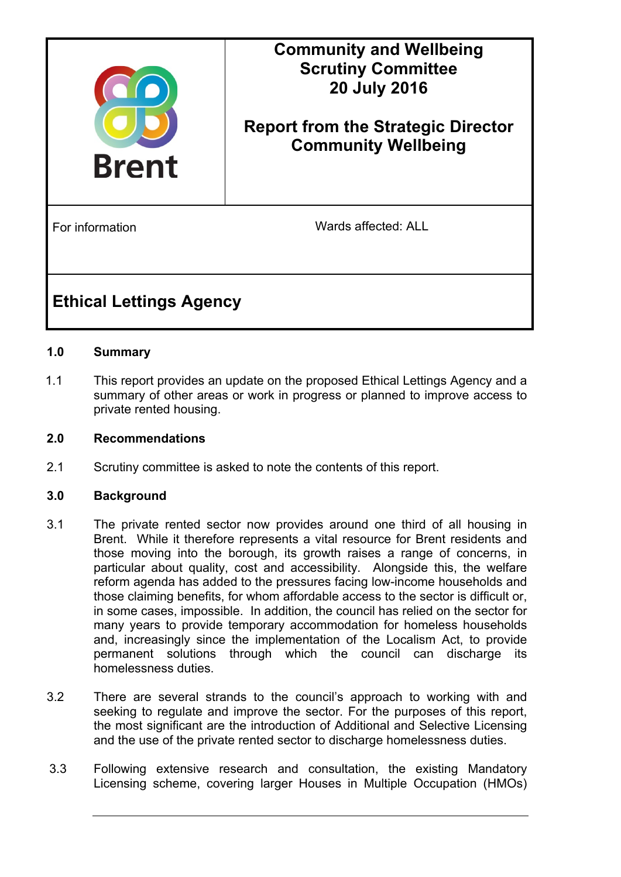

# **Community and Wellbeing Scrutiny Committee 20 July 2016**

# **Report from the Strategic Director Community Wellbeing**

For information **For information** Wards affected: ALL

# **Ethical Lettings Agency**

# **1.0 Summary**

1.1 This report provides an update on the proposed Ethical Lettings Agency and a summary of other areas or work in progress or planned to improve access to private rented housing.

# **2.0 Recommendations**

2.1 Scrutiny committee is asked to note the contents of this report.

#### **3.0 Background**

- 3.1 The private rented sector now provides around one third of all housing in Brent. While it therefore represents a vital resource for Brent residents and those moving into the borough, its growth raises a range of concerns, in particular about quality, cost and accessibility. Alongside this, the welfare reform agenda has added to the pressures facing low-income households and those claiming benefits, for whom affordable access to the sector is difficult or, in some cases, impossible. In addition, the council has relied on the sector for many years to provide temporary accommodation for homeless households and, increasingly since the implementation of the Localism Act, to provide permanent solutions through which the council can discharge its homelessness duties.
- 3.2 There are several strands to the council's approach to working with and seeking to regulate and improve the sector. For the purposes of this report, the most significant are the introduction of Additional and Selective Licensing and the use of the private rented sector to discharge homelessness duties.
- 3.3 Following extensive research and consultation, the existing Mandatory Licensing scheme, covering larger Houses in Multiple Occupation (HMOs)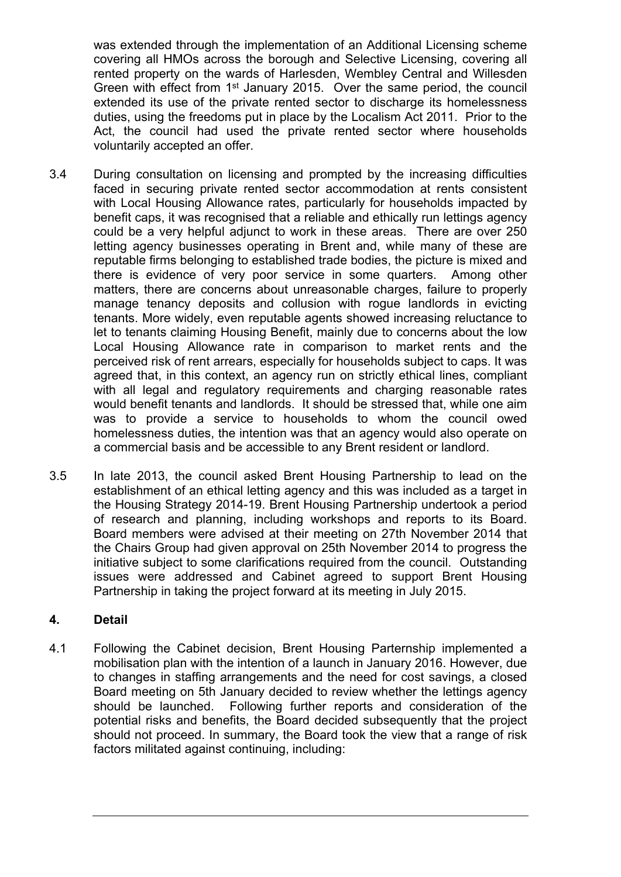was extended through the implementation of an Additional Licensing scheme covering all HMOs across the borough and Selective Licensing, covering all rented property on the wards of Harlesden, Wembley Central and Willesden Green with effect from 1<sup>st</sup> January 2015. Over the same period, the council extended its use of the private rented sector to discharge its homelessness duties, using the freedoms put in place by the Localism Act 2011. Prior to the Act, the council had used the private rented sector where households voluntarily accepted an offer.

- 3.4 During consultation on licensing and prompted by the increasing difficulties faced in securing private rented sector accommodation at rents consistent with Local Housing Allowance rates, particularly for households impacted by benefit caps, it was recognised that a reliable and ethically run lettings agency could be a very helpful adjunct to work in these areas. There are over 250 letting agency businesses operating in Brent and, while many of these are reputable firms belonging to established trade bodies, the picture is mixed and there is evidence of very poor service in some quarters. Among other matters, there are concerns about unreasonable charges, failure to properly manage tenancy deposits and collusion with rogue landlords in evicting tenants. More widely, even reputable agents showed increasing reluctance to let to tenants claiming Housing Benefit, mainly due to concerns about the low Local Housing Allowance rate in comparison to market rents and the perceived risk of rent arrears, especially for households subject to caps. It was agreed that, in this context, an agency run on strictly ethical lines, compliant with all legal and regulatory reguirements and charging reasonable rates would benefit tenants and landlords. It should be stressed that, while one aim was to provide a service to households to whom the council owed homelessness duties, the intention was that an agency would also operate on a commercial basis and be accessible to any Brent resident or landlord.
- 3.5 In late 2013, the council asked Brent Housing Partnership to lead on the establishment of an ethical letting agency and this was included as a target in the Housing Strategy 2014-19. Brent Housing Partnership undertook a period of research and planning, including workshops and reports to its Board. Board members were advised at their meeting on 27th November 2014 that the Chairs Group had given approval on 25th November 2014 to progress the initiative subject to some clarifications required from the council. Outstanding issues were addressed and Cabinet agreed to support Brent Housing Partnership in taking the project forward at its meeting in July 2015.

# **4. Detail**

4.1 Following the Cabinet decision, Brent Housing Parternship implemented a mobilisation plan with the intention of a launch in January 2016. However, due to changes in staffing arrangements and the need for cost savings, a closed Board meeting on 5th January decided to review whether the lettings agency should be launched. Following further reports and consideration of the potential risks and benefits, the Board decided subsequently that the project should not proceed. In summary, the Board took the view that a range of risk factors militated against continuing, including: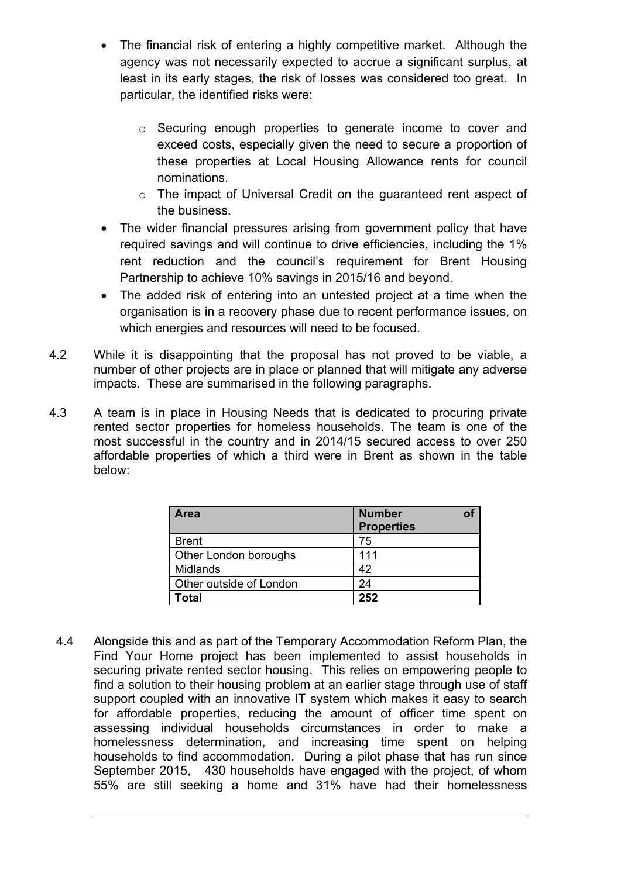- The financial risk of entering a highly competitive market. Although the agency was not necessarily expected to accrue a significant surplus, at least in its early stages, the risk of losses was considered too great. In particular, the identified risks were:
	- o Securing enough properties to generate income to cover and exceed costs, especially given the need to secure a proportion of these properties at Local Housing Allowance rents for council nominations.
	- o The impact of Universal Credit on the guaranteed rent aspect of the business.
- The wider financial pressures arising from government policy that have required savings and will continue to drive efficiencies, including the 1% rent reduction and the council's requirement for Brent Housing Partnership to achieve 10% savings in 2015/16 and beyond.
- The added risk of entering into an untested project at a time when the organisation is in a recovery phase due to recent performance issues, on which energies and resources will need to be focused.
- 4.2 While it is disappointing that the proposal has not proved to be viable, a number of other projects are in place or planned that will mitigate any adverse impacts. These are summarised in the following paragraphs.
- 4.3 A team is in place in Housing Needs that is dedicated to procuring private rented sector properties for homeless households. The team is one of the most successful in the country and in 2014/15 secured access to over 250 affordable properties of which a third were in Brent as shown in the table below:

| <b>Area</b>             | <b>Number</b><br><b>Properties</b> |  |
|-------------------------|------------------------------------|--|
| <b>Brent</b>            | 75                                 |  |
| Other London boroughs   | 111                                |  |
| <b>Midlands</b>         | 42                                 |  |
| Other outside of London | 24                                 |  |
| Total                   | 252                                |  |

 4.4 Alongside this and as part of the Temporary Accommodation Reform Plan, the Find Your Home project has been implemented to assist households in securing private rented sector housing. This relies on empowering people to find a solution to their housing problem at an earlier stage through use of staff support coupled with an innovative IT system which makes it easy to search for affordable properties, reducing the amount of officer time spent on assessing individual households circumstances in order to make a homelessness determination, and increasing time spent on helping households to find accommodation. During a pilot phase that has run since September 2015, 430 households have engaged with the project, of whom 55% are still seeking a home and 31% have had their homelessness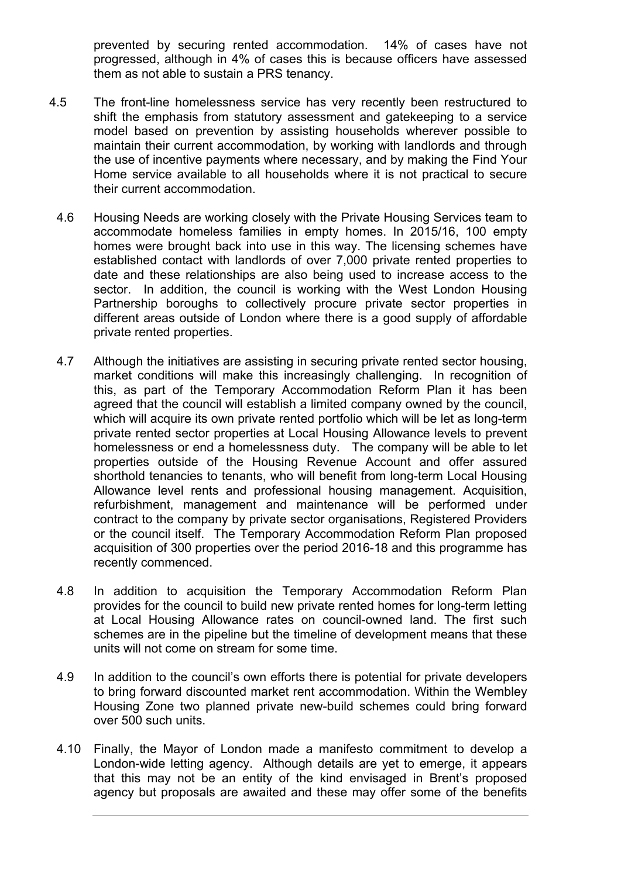prevented by securing rented accommodation. 14% of cases have not progressed, although in 4% of cases this is because officers have assessed them as not able to sustain a PRS tenancy.

- 4.5 The front-line homelessness service has very recently been restructured to shift the emphasis from statutory assessment and gatekeeping to a service model based on prevention by assisting households wherever possible to maintain their current accommodation, by working with landlords and through the use of incentive payments where necessary, and by making the Find Your Home service available to all households where it is not practical to secure their current accommodation.
	- 4.6 Housing Needs are working closely with the Private Housing Services team to accommodate homeless families in empty homes. In 2015/16, 100 empty homes were brought back into use in this way. The licensing schemes have established contact with landlords of over 7,000 private rented properties to date and these relationships are also being used to increase access to the sector. In addition, the council is working with the West London Housing Partnership boroughs to collectively procure private sector properties in different areas outside of London where there is a good supply of affordable private rented properties.
	- 4.7 Although the initiatives are assisting in securing private rented sector housing, market conditions will make this increasingly challenging. In recognition of this, as part of the Temporary Accommodation Reform Plan it has been agreed that the council will establish a limited company owned by the council, which will acquire its own private rented portfolio which will be let as long-term private rented sector properties at Local Housing Allowance levels to prevent homelessness or end a homelessness duty. The company will be able to let properties outside of the Housing Revenue Account and offer assured shorthold tenancies to tenants, who will benefit from long-term Local Housing Allowance level rents and professional housing management. Acquisition, refurbishment, management and maintenance will be performed under contract to the company by private sector organisations, Registered Providers or the council itself. The Temporary Accommodation Reform Plan proposed acquisition of 300 properties over the period 2016-18 and this programme has recently commenced.
	- 4.8 In addition to acquisition the Temporary Accommodation Reform Plan provides for the council to build new private rented homes for long-term letting at Local Housing Allowance rates on council-owned land. The first such schemes are in the pipeline but the timeline of development means that these units will not come on stream for some time.
	- 4.9 In addition to the council's own efforts there is potential for private developers to bring forward discounted market rent accommodation. Within the Wembley Housing Zone two planned private new-build schemes could bring forward over 500 such units.
	- 4.10 Finally, the Mayor of London made a manifesto commitment to develop a London-wide letting agency. Although details are yet to emerge, it appears that this may not be an entity of the kind envisaged in Brent's proposed agency but proposals are awaited and these may offer some of the benefits